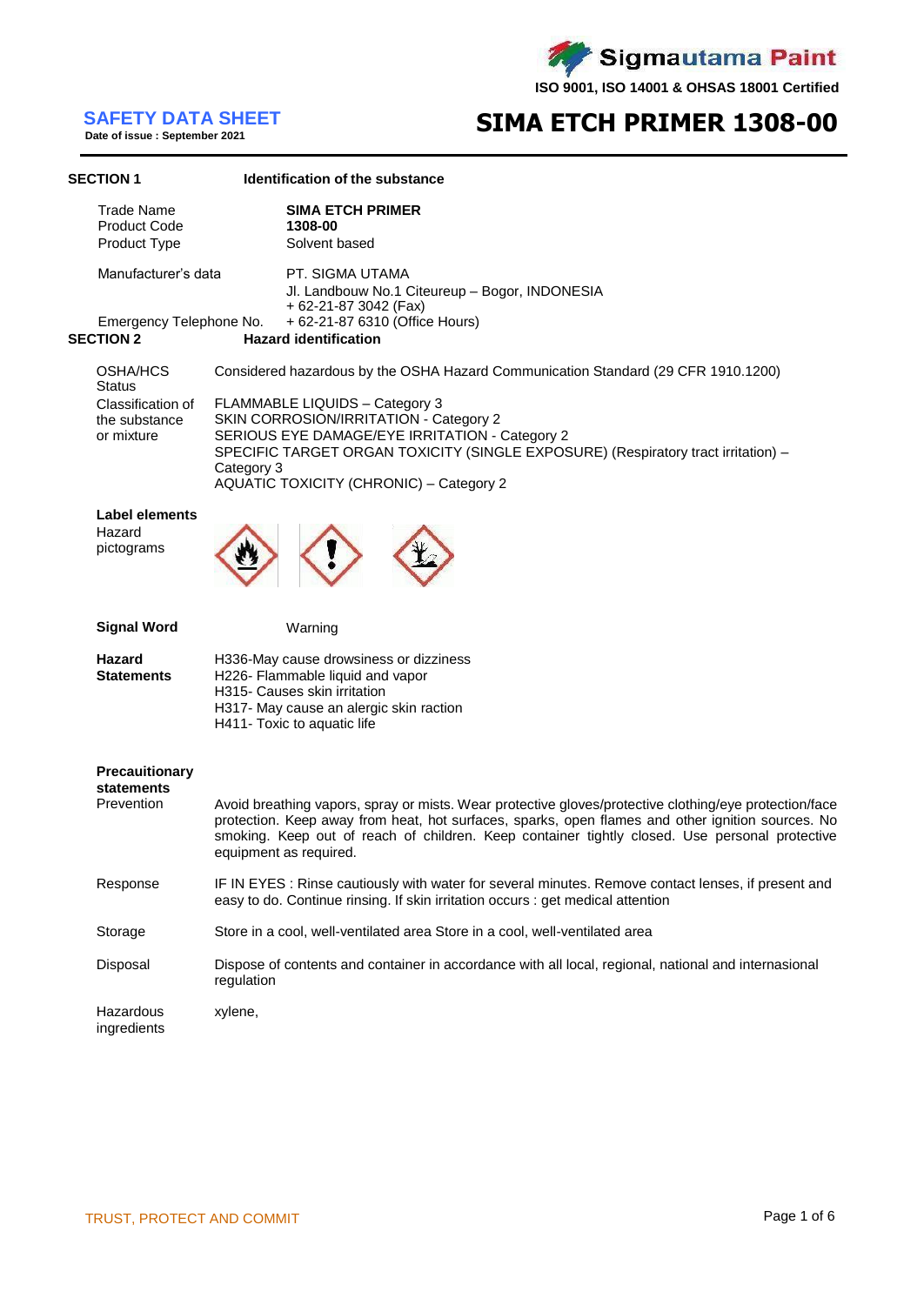Sigmautama Paint Z

**ISO 9001, ISO 14001 & OHSAS 18001 Certified**

# **SAFETY DATA SHEET**<br>Date of issue : September 2021

## **SIMA ETCH PRIMER 1308-00**

| <b>SECTION 1</b>                                         | <b>Identification of the substance</b>                                                                                                                                                                                                                                                                                                  |
|----------------------------------------------------------|-----------------------------------------------------------------------------------------------------------------------------------------------------------------------------------------------------------------------------------------------------------------------------------------------------------------------------------------|
| <b>Trade Name</b><br><b>Product Code</b><br>Product Type | <b>SIMA ETCH PRIMER</b><br>1308-00<br>Solvent based                                                                                                                                                                                                                                                                                     |
| Manufacturer's data                                      | PT. SIGMA UTAMA<br>Jl. Landbouw No.1 Citeureup - Bogor, INDONESIA<br>+ 62-21-87 3042 (Fax)<br>+ 62-21-87 6310 (Office Hours)                                                                                                                                                                                                            |
| <b>SECTION 2</b>                                         | Emergency Telephone No.<br><b>Hazard identification</b>                                                                                                                                                                                                                                                                                 |
| OSHA/HCS<br><b>Status</b>                                | Considered hazardous by the OSHA Hazard Communication Standard (29 CFR 1910.1200)                                                                                                                                                                                                                                                       |
| Classification of<br>the substance<br>or mixture         | FLAMMABLE LIQUIDS - Category 3<br>SKIN CORROSION/IRRITATION - Category 2<br>SERIOUS EYE DAMAGE/EYE IRRITATION - Category 2<br>SPECIFIC TARGET ORGAN TOXICITY (SINGLE EXPOSURE) (Respiratory tract irritation) -<br>Category 3<br><b>AQUATIC TOXICITY (CHRONIC) - Category 2</b>                                                         |
| <b>Label elements</b><br>Hazard<br>pictograms            |                                                                                                                                                                                                                                                                                                                                         |
| <b>Signal Word</b>                                       | Warning                                                                                                                                                                                                                                                                                                                                 |
| <b>Hazard</b><br><b>Statements</b>                       | H336-May cause drowsiness or dizziness<br>H226- Flammable liquid and vapor<br>H315- Causes skin irritation<br>H317- May cause an alergic skin raction<br>H411- Toxic to aquatic life                                                                                                                                                    |
| <b>Precauitionary</b><br><b>statements</b><br>Prevention | Avoid breathing vapors, spray or mists. Wear protective gloves/protective clothing/eye protection/face<br>protection. Keep away from heat, hot surfaces, sparks, open flames and other ignition sources. No<br>smoking. Keep out of reach of children. Keep container tightly closed. Use personal protective<br>equipment as required. |
| Response                                                 | IF IN EYES : Rinse cautiously with water for several minutes. Remove contact lenses, if present and<br>easy to do. Continue rinsing. If skin irritation occurs : get medical attention                                                                                                                                                  |
| Storage                                                  | Store in a cool, well-ventilated area Store in a cool, well-ventilated area                                                                                                                                                                                                                                                             |
| Disposal                                                 | Dispose of contents and container in accordance with all local, regional, national and internasional<br>regulation                                                                                                                                                                                                                      |
| Hazardous<br>ingredients                                 | xylene,                                                                                                                                                                                                                                                                                                                                 |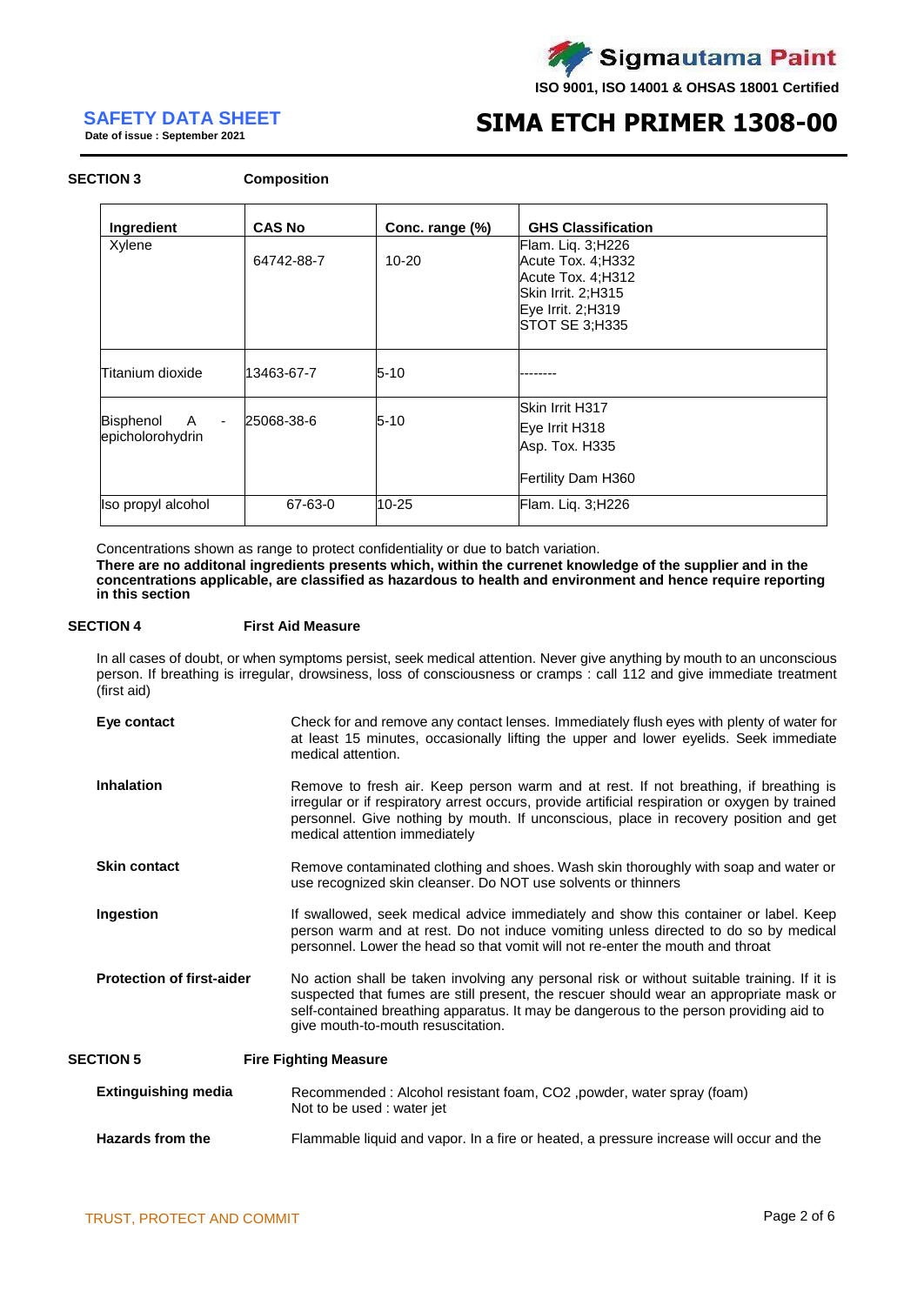

**SAFETY DATA SHEET**<br>Date of issue : September 2021

# **SIMA ETCH PRIMER 1308-00**

#### **SECTION 3 Composition**

| Ingredient                         | <b>CAS No</b> | Conc. range (%) | <b>GHS Classification</b>                                                                                                 |
|------------------------------------|---------------|-----------------|---------------------------------------------------------------------------------------------------------------------------|
| Xylene                             | 64742-88-7    | 10-20           | Flam. Liq. 3;H226<br>Acute Tox. 4; H332<br>Acute Tox. 4;H312<br>Skin Irrit. 2;H315<br>Eye Irrit. 2;H319<br>STOT SE 3;H335 |
| Titanium dioxide                   | 13463-67-7    | $5-10$          |                                                                                                                           |
| A<br>Bisphenol<br>epicholorohydrin | 25068-38-6    | $5 - 10$        | Skin Irrit H317<br>Eye Irrit H318<br>Asp. Tox. H335<br>Fertility Dam H360                                                 |
| Iso propyl alcohol                 | 67-63-0       | 10-25           | Flam. Liq. 3;H226                                                                                                         |

Concentrations shown as range to protect confidentiality or due to batch variation. **There are no additonal ingredients presents which, within the currenet knowledge of the supplier and in the concentrations applicable, are classified as hazardous to health and environment and hence require reporting in this section**

#### **SECTION 4 First Aid Measure**

In all cases of doubt, or when symptoms persist, seek medical attention. Never give anything by mouth to an unconscious person. If breathing is irregular, drowsiness, loss of consciousness or cramps : call 112 and give immediate treatment (first aid)

| Eye contact                      | Check for and remove any contact lenses. Immediately flush eyes with plenty of water for<br>at least 15 minutes, occasionally lifting the upper and lower eyelids. Seek immediate<br>medical attention.                                                                                                               |
|----------------------------------|-----------------------------------------------------------------------------------------------------------------------------------------------------------------------------------------------------------------------------------------------------------------------------------------------------------------------|
| <b>Inhalation</b>                | Remove to fresh air. Keep person warm and at rest. If not breathing, if breathing is<br>irregular or if respiratory arrest occurs, provide artificial respiration or oxygen by trained<br>personnel. Give nothing by mouth. If unconscious, place in recovery position and get<br>medical attention immediately       |
| <b>Skin contact</b>              | Remove contaminated clothing and shoes. Wash skin thoroughly with soap and water or<br>use recognized skin cleanser. Do NOT use solvents or thinners                                                                                                                                                                  |
| Ingestion                        | If swallowed, seek medical advice immediately and show this container or label. Keep<br>person warm and at rest. Do not induce vomiting unless directed to do so by medical<br>personnel. Lower the head so that vomit will not re-enter the mouth and throat                                                         |
| <b>Protection of first-aider</b> | No action shall be taken involving any personal risk or without suitable training. If it is<br>suspected that fumes are still present, the rescuer should wear an appropriate mask or<br>self-contained breathing apparatus. It may be dangerous to the person providing aid to<br>give mouth-to-mouth resuscitation. |
| <b>SECTION 5</b>                 | <b>Fire Fighting Measure</b>                                                                                                                                                                                                                                                                                          |
| <b>Extinguishing media</b>       | Recommended: Alcohol resistant foam, CO2, powder, water spray (foam)<br>Not to be used : water jet                                                                                                                                                                                                                    |
| Hazards from the                 | Flammable liquid and vapor. In a fire or heated, a pressure increase will occur and the                                                                                                                                                                                                                               |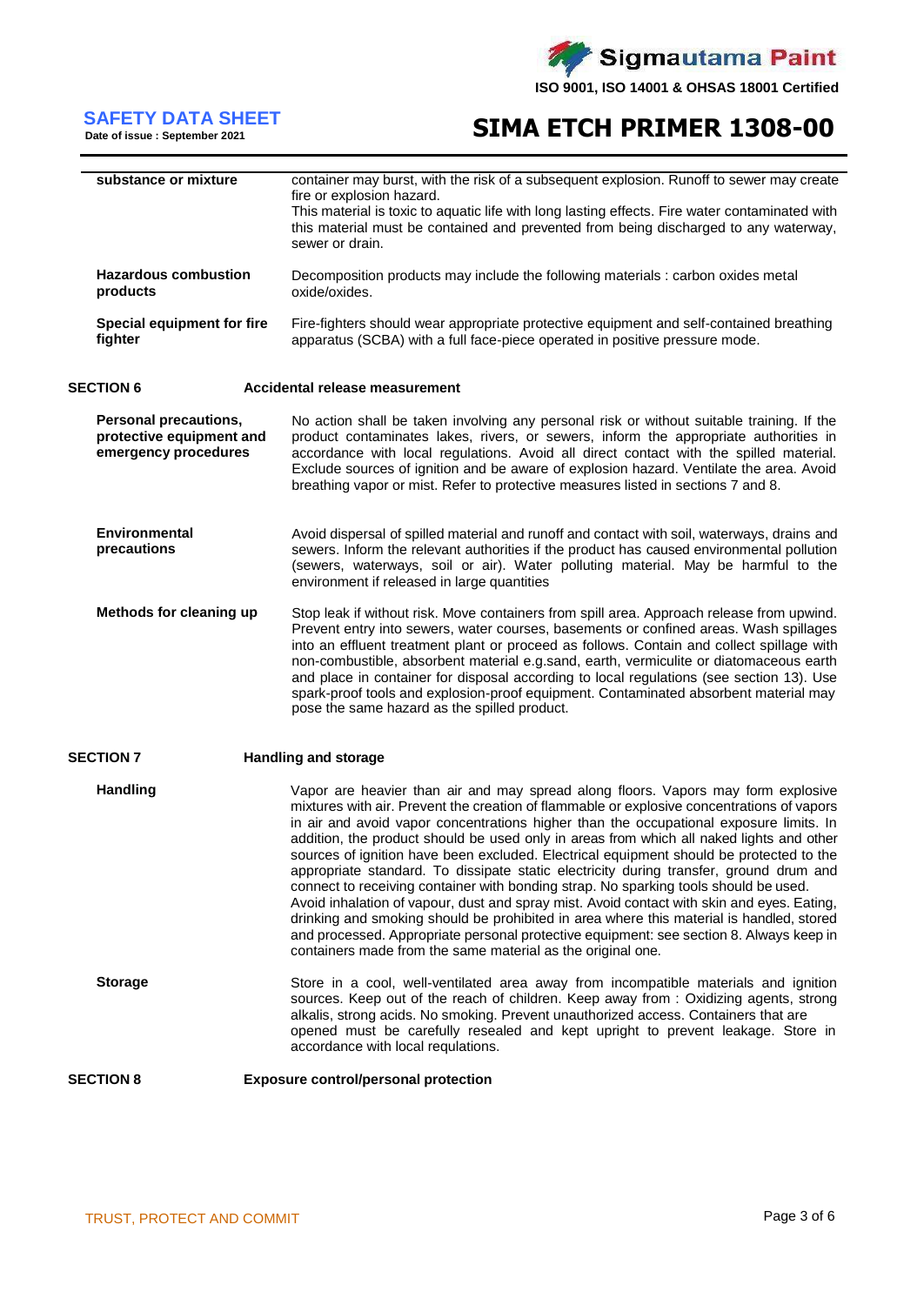

# **SAFETY DATA SHEET**<br>Date of issue : September 2021

# **SIMA ETCH PRIMER 1308-00**

| substance or mixture                                                      | container may burst, with the risk of a subsequent explosion. Runoff to sewer may create<br>fire or explosion hazard.                                                                                                                                                                                                                                                                                                                                                                                                                                                                                                                                                                                                                                                                                                                                                                                                                                                                                  |
|---------------------------------------------------------------------------|--------------------------------------------------------------------------------------------------------------------------------------------------------------------------------------------------------------------------------------------------------------------------------------------------------------------------------------------------------------------------------------------------------------------------------------------------------------------------------------------------------------------------------------------------------------------------------------------------------------------------------------------------------------------------------------------------------------------------------------------------------------------------------------------------------------------------------------------------------------------------------------------------------------------------------------------------------------------------------------------------------|
|                                                                           | This material is toxic to aquatic life with long lasting effects. Fire water contaminated with<br>this material must be contained and prevented from being discharged to any waterway,<br>sewer or drain.                                                                                                                                                                                                                                                                                                                                                                                                                                                                                                                                                                                                                                                                                                                                                                                              |
| <b>Hazardous combustion</b><br>products                                   | Decomposition products may include the following materials : carbon oxides metal<br>oxide/oxides.                                                                                                                                                                                                                                                                                                                                                                                                                                                                                                                                                                                                                                                                                                                                                                                                                                                                                                      |
| Special equipment for fire<br>fighter                                     | Fire-fighters should wear appropriate protective equipment and self-contained breathing<br>apparatus (SCBA) with a full face-piece operated in positive pressure mode.                                                                                                                                                                                                                                                                                                                                                                                                                                                                                                                                                                                                                                                                                                                                                                                                                                 |
| <b>SECTION 6</b>                                                          | Accidental release measurement                                                                                                                                                                                                                                                                                                                                                                                                                                                                                                                                                                                                                                                                                                                                                                                                                                                                                                                                                                         |
| Personal precautions,<br>protective equipment and<br>emergency procedures | No action shall be taken involving any personal risk or without suitable training. If the<br>product contaminates lakes, rivers, or sewers, inform the appropriate authorities in<br>accordance with local regulations. Avoid all direct contact with the spilled material.<br>Exclude sources of ignition and be aware of explosion hazard. Ventilate the area. Avoid<br>breathing vapor or mist. Refer to protective measures listed in sections 7 and 8.                                                                                                                                                                                                                                                                                                                                                                                                                                                                                                                                            |
| <b>Environmental</b><br>precautions                                       | Avoid dispersal of spilled material and runoff and contact with soil, waterways, drains and<br>sewers. Inform the relevant authorities if the product has caused environmental pollution<br>(sewers, waterways, soil or air). Water polluting material. May be harmful to the<br>environment if released in large quantities                                                                                                                                                                                                                                                                                                                                                                                                                                                                                                                                                                                                                                                                           |
| Methods for cleaning up                                                   | Stop leak if without risk. Move containers from spill area. Approach release from upwind.<br>Prevent entry into sewers, water courses, basements or confined areas. Wash spillages<br>into an effluent treatment plant or proceed as follows. Contain and collect spillage with<br>non-combustible, absorbent material e.g.sand, earth, vermiculite or diatomaceous earth<br>and place in container for disposal according to local regulations (see section 13). Use<br>spark-proof tools and explosion-proof equipment. Contaminated absorbent material may<br>pose the same hazard as the spilled product.                                                                                                                                                                                                                                                                                                                                                                                          |
| <b>SECTION 7</b>                                                          | <b>Handling and storage</b>                                                                                                                                                                                                                                                                                                                                                                                                                                                                                                                                                                                                                                                                                                                                                                                                                                                                                                                                                                            |
| <b>Handling</b>                                                           | Vapor are heavier than air and may spread along floors. Vapors may form explosive<br>mixtures with air. Prevent the creation of flammable or explosive concentrations of vapors<br>in air and avoid vapor concentrations higher than the occupational exposure limits. In<br>addition, the product should be used only in areas from which all naked lights and other<br>sources of ignition have been excluded. Electrical equipment should be protected to the<br>appropriate standard. To dissipate static electricity during transfer, ground drum and<br>connect to receiving container with bonding strap. No sparking tools should be used.<br>Avoid inhalation of vapour, dust and spray mist. Avoid contact with skin and eyes. Eating,<br>drinking and smoking should be prohibited in area where this material is handled, stored<br>and processed. Appropriate personal protective equipment: see section 8. Always keep in<br>containers made from the same material as the original one. |
| <b>Storage</b>                                                            | Store in a cool, well-ventilated area away from incompatible materials and ignition<br>sources. Keep out of the reach of children. Keep away from: Oxidizing agents, strong<br>alkalis, strong acids. No smoking. Prevent unauthorized access. Containers that are<br>opened must be carefully resealed and kept upright to prevent leakage. Store in<br>accordance with local requlations.                                                                                                                                                                                                                                                                                                                                                                                                                                                                                                                                                                                                            |
| <b>SECTION 8</b>                                                          | <b>Exposure control/personal protection</b>                                                                                                                                                                                                                                                                                                                                                                                                                                                                                                                                                                                                                                                                                                                                                                                                                                                                                                                                                            |
|                                                                           |                                                                                                                                                                                                                                                                                                                                                                                                                                                                                                                                                                                                                                                                                                                                                                                                                                                                                                                                                                                                        |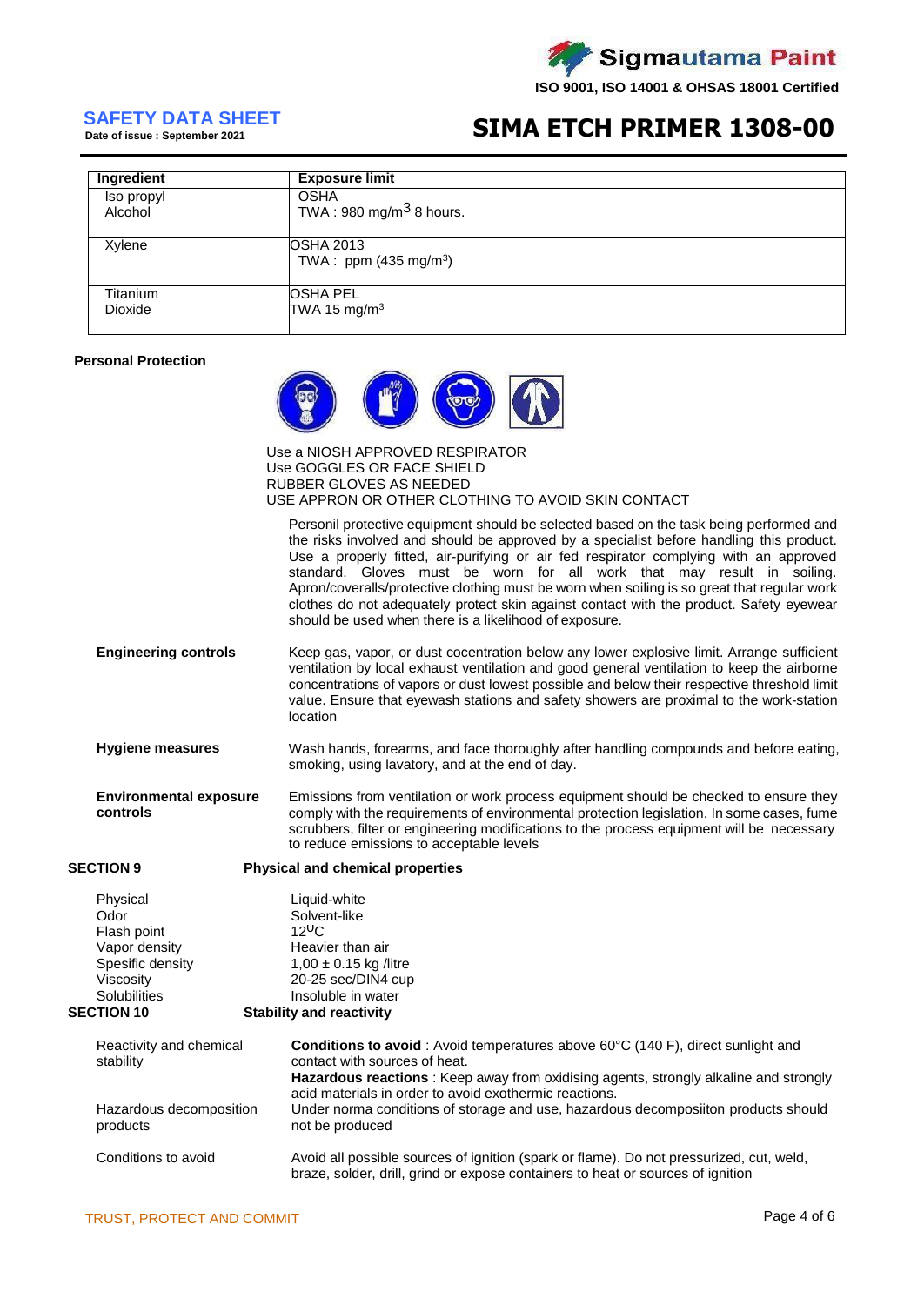

# **SAFETY DATA SHEET**<br>Date of issue : September 2021

### **SIMA ETCH PRIMER 1308-00**

| Ingredient      | <b>Exposure limit</b>                                |
|-----------------|------------------------------------------------------|
| Iso propyl      | <b>OSHA</b>                                          |
| Alcohol         | TWA: 980 mg/m <sup>3</sup> 8 hours.                  |
| Xylene          | <b>OSHA 2013</b><br>TWA : ppm $(435 \text{ mg/m}^3)$ |
| <b>Titanium</b> | <b>OSHA PEL</b>                                      |
| <b>Dioxide</b>  | TWA 15 mg/m <sup>3</sup>                             |

#### **Personal Protection**



Use a NIOSH APPROVED RESPIRATOR Use GOGGLES OR FACE SHIELD RUBBER GLOVES AS NEEDED USE APPRON OR OTHER CLOTHING TO AVOID SKIN CONTACT

Personil protective equipment should be selected based on the task being performed and the risks involved and should be approved by a specialist before handling this product. Use a properly fitted, air-purifying or air fed respirator complying with an approved standard. Gloves must be worn for all work that may result in soiling. Apron/coveralls/protective clothing must be worn when soiling is so great that regular work clothes do not adequately protect skin against contact with the product. Safety eyewear should be used when there is a likelihood of exposure.

- **Engineering controls** Keep gas, vapor, or dust cocentration below any lower explosive limit. Arrange sufficient ventilation by local exhaust ventilation and good general ventilation to keep the airborne concentrations of vapors or dust lowest possible and below their respective threshold limit value. Ensure that eyewash stations and safety showers are proximal to the work-station location
- **Hygiene measures** Wash hands, forearms, and face thoroughly after handling compounds and before eating, smoking, using lavatory, and at the end of day.
- **Environmental exposure controls** Emissions from ventilation or work process equipment should be checked to ensure they comply with the requirements of environmental protection legislation. In some cases, fume scrubbers, filter or engineering modifications to the process equipment will be necessary to reduce emissions to acceptable levels

### **SECTION 9 Physical and chemical properties**

Physical Channel Liquid-white<br>
Odor Colvent-like Solvent-like<br>12<sup>U</sup>C Flash point Vapor density Heavier than air<br>Spesific density 1.00 ± 0.15 kg /  $1.00 \pm 0.15$  kg /litre Viscosity 20-25 sec/DIN4 cup Solubilities Insoluble in water<br>SECTION 10 Stability and reactivity **Stability and reactivity** 

| Reactivity and chemical<br>stability | <b>Conditions to avoid</b> : Avoid temperatures above 60°C (140 F), direct sunlight and<br>contact with sources of heat.<br><b>Hazardous reactions</b> : Keep away from oxidising agents, strongly alkaline and strongly |
|--------------------------------------|--------------------------------------------------------------------------------------------------------------------------------------------------------------------------------------------------------------------------|
| Hazardous decomposition<br>products  | acid materials in order to avoid exothermic reactions.<br>Under norma conditions of storage and use, hazardous decomposiiton products should<br>not be produced                                                          |
| Conditions to avoid                  | Avoid all possible sources of ignition (spark or flame). Do not pressurized, cut, weld,<br>braze, solder, drill, grind or expose containers to heat or sources of ignition                                               |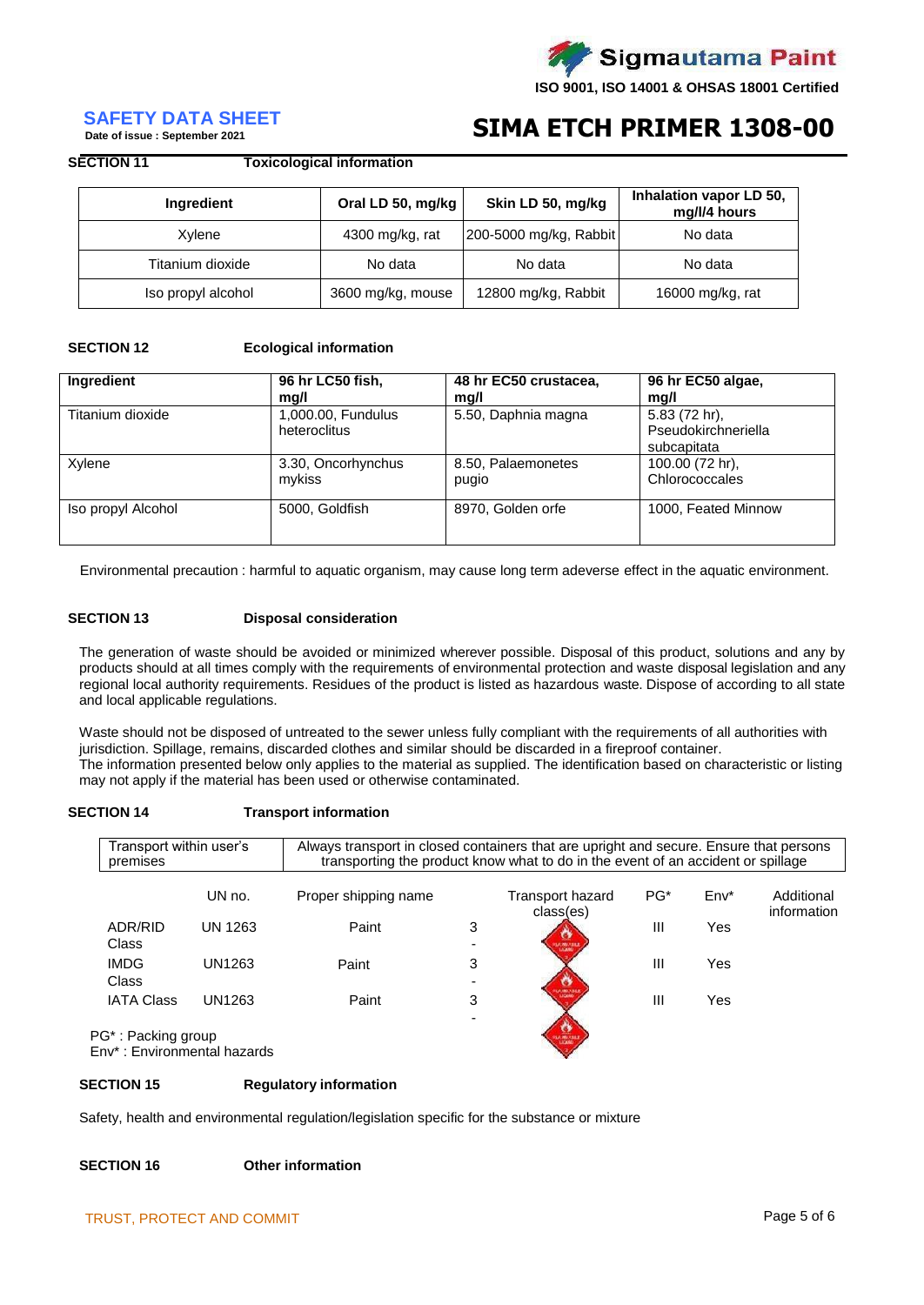

# **SAFETY DATA SHEET**<br>Date of issue : September 2021

## **SIMA ETCH PRIMER 1308-00**

#### **SECTION 11 Toxicological information**

| Ingredient         | Oral LD 50, mg/kg | Skin LD 50, mg/kg      | Inhalation vapor LD 50,<br>mg/l/4 hours |
|--------------------|-------------------|------------------------|-----------------------------------------|
| Xylene             | 4300 mg/kg, rat   | 200-5000 mg/kg, Rabbit | No data                                 |
| Titanium dioxide   | No data           | No data                | No data                                 |
| Iso propyl alcohol | 3600 mg/kg, mouse | 12800 mg/kg, Rabbit    | 16000 mg/kg, rat                        |

#### **SECTION 12 Ecological information**

| Ingredient         | 96 hr LC50 fish,                   | 48 hr EC50 crustacea, | 96 hr EC50 algae,                                   |
|--------------------|------------------------------------|-----------------------|-----------------------------------------------------|
|                    | mq/l                               | mg/l                  | mq/l                                                |
| Titanium dioxide   | 1,000.00, Fundulus<br>heteroclitus | 5.50, Daphnia magna   | 5.83 (72 hr),<br>Pseudokirchneriella<br>subcapitata |
| Xylene             | 3.30, Oncorhynchus                 | 8.50, Palaemonetes    | 100.00 (72 hr),                                     |
|                    | mykiss                             | pugio                 | Chlorococcales                                      |
| Iso propyl Alcohol | 5000, Goldfish                     | 8970, Golden orfe     | 1000, Feated Minnow                                 |

Environmental precaution : harmful to aquatic organism, may cause long term adeverse effect in the aquatic environment.

#### **SECTION 13 Disposal consideration**

The generation of waste should be avoided or minimized wherever possible. Disposal of this product, solutions and any by products should at all times comply with the requirements of environmental protection and waste disposal legislation and any regional local authority requirements. Residues of the product is listed as hazardous waste. Dispose of according to all state and local applicable regulations.

Waste should not be disposed of untreated to the sewer unless fully compliant with the requirements of all authorities with jurisdiction. Spillage, remains, discarded clothes and similar should be discarded in a fireproof container. The information presented below only applies to the material as supplied. The identification based on characteristic or listing may not apply if the material has been used or otherwise contaminated.

### **SECTION 14 Transport information**

| Transport within user's<br>premises |         | Always transport in closed containers that are upright and secure. Ensure that persons |   | transporting the product know what to do in the event of an accident or spillage |                 |        |                           |
|-------------------------------------|---------|----------------------------------------------------------------------------------------|---|----------------------------------------------------------------------------------|-----------------|--------|---------------------------|
|                                     | UN no.  | Proper shipping name                                                                   |   | Transport hazard<br>class(es)                                                    | PG <sup>*</sup> | $Env*$ | Additional<br>information |
| ADR/RID<br><b>Class</b>             | UN 1263 | Paint                                                                                  | 3 | <b>HARMARIES</b>                                                                 | Ш               | Yes    |                           |
| <b>IMDG</b><br>Class                | UN1263  | Paint                                                                                  | 3 |                                                                                  | Ш               | Yes    |                           |
| <b>IATA Class</b>                   | UN1263  | Paint                                                                                  | 3 | UA MALABER<br>LEGAND                                                             | Ш               | Yes    |                           |
| PG*: Packing group                  |         |                                                                                        |   |                                                                                  |                 |        |                           |

Env\* : Environmental hazards

#### **SECTION 15 Regulatory information**

Safety, health and environmental regulation/legislation specific for the substance or mixture

#### **SECTION 16 Other information**